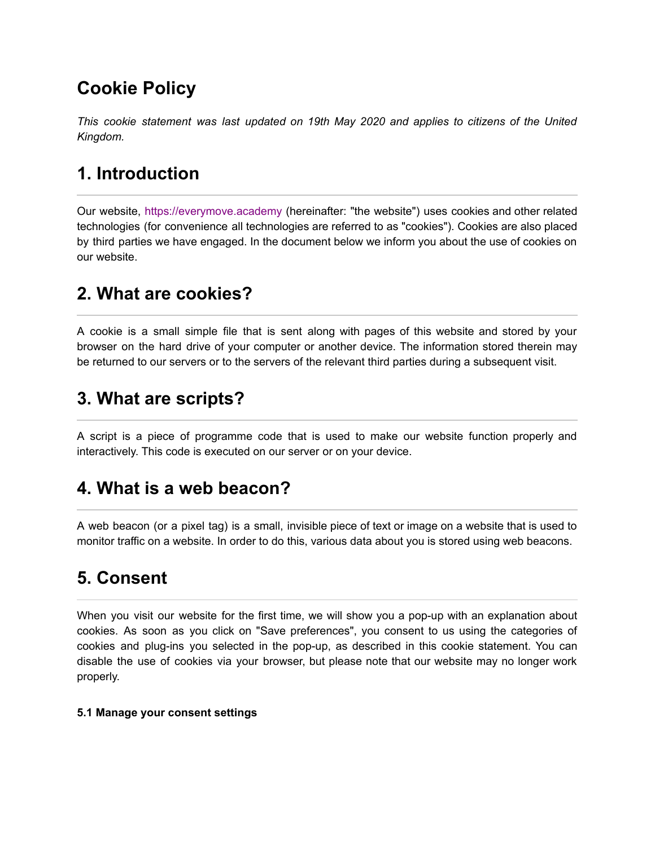# **Cookie Policy**

*This cookie statement was last updated on 19th May 2020 and applies to citizens of the United Kingdom.*

# **1. Introduction**

Our website, [https://everymove.academy](https://everymoveacademy.com/) (hereinafter: "the website") uses cookies and other related technologies (for convenience all technologies are referred to as "cookies"). Cookies are also placed by third parties we have engaged. In the document below we inform you about the use of cookies on our website.

## **2. What are cookies?**

A cookie is a small simple file that is sent along with pages of this website and stored by your browser on the hard drive of your computer or another device. The information stored therein may be returned to our servers or to the servers of the relevant third parties during a subsequent visit.

## **3. What are scripts?**

A script is a piece of programme code that is used to make our website function properly and interactively. This code is executed on our server or on your device.

## **4. What is a web beacon?**

A web beacon (or a pixel tag) is a small, invisible piece of text or image on a website that is used to monitor traffic on a website. In order to do this, various data about you is stored using web beacons.

# **5. Consent**

When you visit our website for the first time, we will show you a pop-up with an explanation about cookies. As soon as you click on "Save preferences", you consent to us using the categories of cookies and plug-ins you selected in the pop-up, as described in this cookie statement. You can disable the use of cookies via your browser, but please note that our website may no longer work properly.

#### **5.1 Manage your consent settings**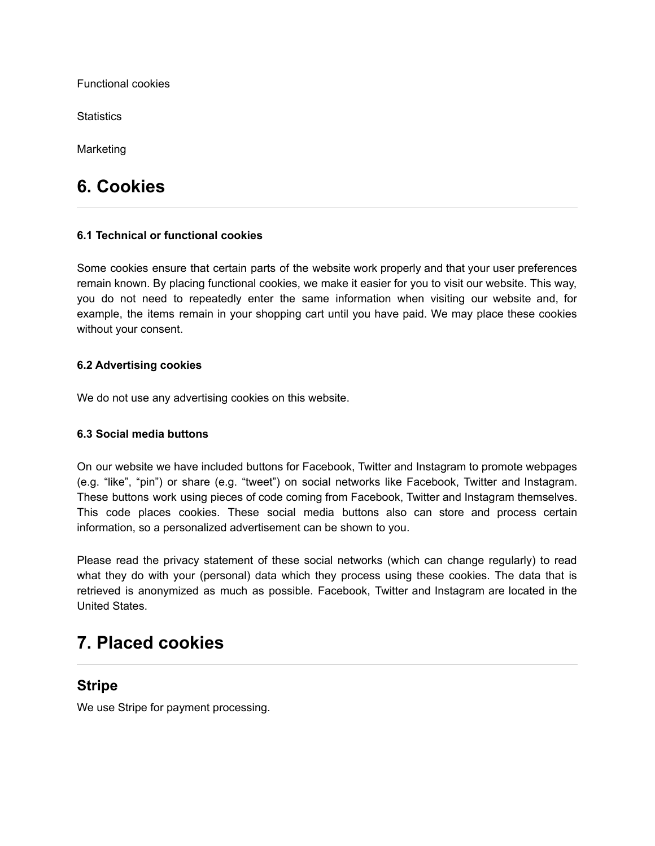Functional cookies

**Statistics** 

Marketing

## **6. Cookies**

#### **6.1 Technical or functional cookies**

Some cookies ensure that certain parts of the website work properly and that your user preferences remain known. By placing functional cookies, we make it easier for you to visit our website. This way, you do not need to repeatedly enter the same information when visiting our website and, for example, the items remain in your shopping cart until you have paid. We may place these cookies without your consent.

#### **6.2 Advertising cookies**

We do not use any advertising cookies on this website.

#### **6.3 Social media buttons**

On our website we have included buttons for Facebook, Twitter and Instagram to promote webpages (e.g. "like", "pin") or share (e.g. "tweet") on social networks like Facebook, Twitter and Instagram. These buttons work using pieces of code coming from Facebook, Twitter and Instagram themselves. This code places cookies. These social media buttons also can store and process certain information, so a personalized advertisement can be shown to you.

Please read the privacy statement of these social networks (which can change regularly) to read what they do with your (personal) data which they process using these cookies. The data that is retrieved is anonymized as much as possible. Facebook, Twitter and Instagram are located in the United States.

### **7. Placed cookies**

#### **Stripe**

We use Stripe for payment processing.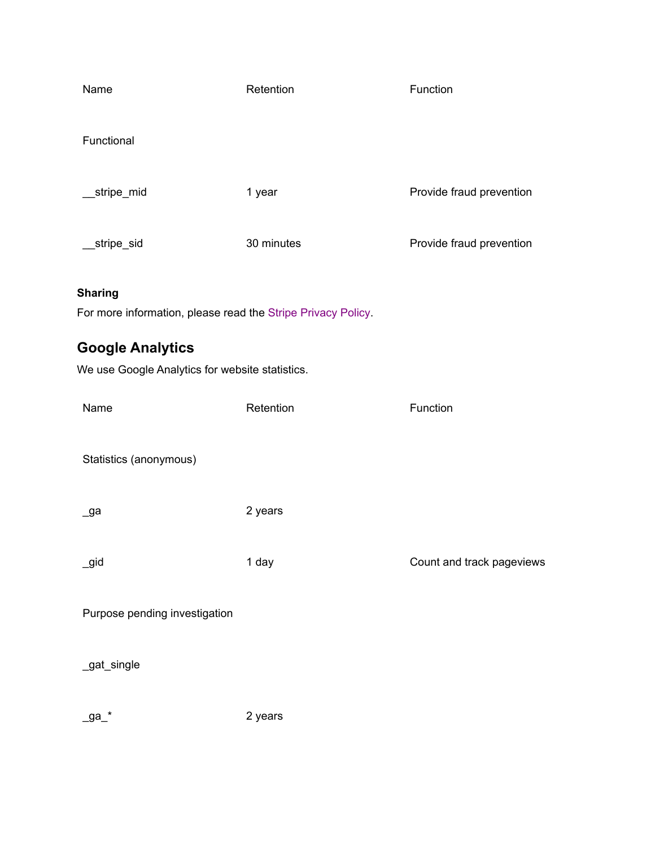| Name                                                                           | Retention  | Function                  |
|--------------------------------------------------------------------------------|------------|---------------------------|
| Functional                                                                     |            |                           |
| stripe_mid_                                                                    | 1 year     | Provide fraud prevention  |
| stripe_sid_                                                                    | 30 minutes | Provide fraud prevention  |
| <b>Sharing</b><br>For more information, please read the Stripe Privacy Policy. |            |                           |
| <b>Google Analytics</b><br>We use Google Analytics for website statistics.     |            |                           |
| Name                                                                           | Retention  | Function                  |
| Statistics (anonymous)                                                         |            |                           |
| _ga                                                                            | 2 years    |                           |
| _gid                                                                           | 1 day      | Count and track pageviews |
| Purpose pending investigation                                                  |            |                           |
| _gat_single                                                                    |            |                           |
| _ga_*                                                                          | 2 years    |                           |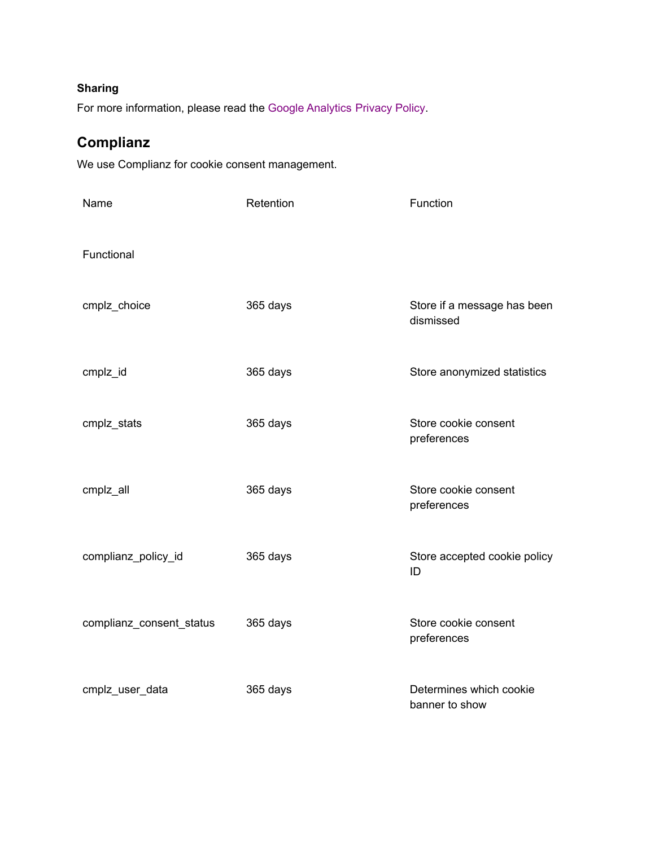#### **Sharing**

For more information, please read the [Google Analytics](https://policies.google.com/privacy) Privacy Policy.

### **Complianz**

We use Complianz for cookie consent management.

| Name                     | Retention | Function                                  |
|--------------------------|-----------|-------------------------------------------|
| Functional               |           |                                           |
| cmplz_choice             | 365 days  | Store if a message has been<br>dismissed  |
| cmplz_id                 | 365 days  | Store anonymized statistics               |
| cmplz_stats              | 365 days  | Store cookie consent<br>preferences       |
| cmplz_all                | 365 days  | Store cookie consent<br>preferences       |
| complianz_policy_id      | 365 days  | Store accepted cookie policy<br>ID        |
| complianz_consent_status | 365 days  | Store cookie consent<br>preferences       |
| cmplz_user_data          | 365 days  | Determines which cookie<br>banner to show |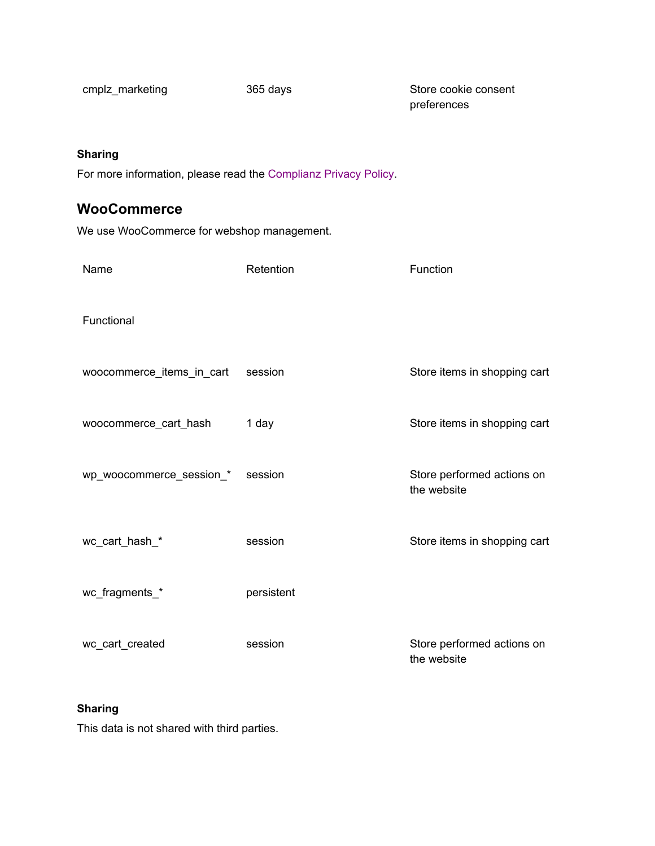cmplz\_marketing 365 days Store cookie consent preferences

#### **Sharing**

For more information, please read the [Complianz Privacy](https://complianz.io/privacy-statement/) Policy.

### **WooCommerce**

We use WooCommerce for webshop management.

| Name                      | Retention  | Function                                  |
|---------------------------|------------|-------------------------------------------|
| Functional                |            |                                           |
| woocommerce_items_in_cart | session    | Store items in shopping cart              |
| woocommerce_cart_hash     | 1 day      | Store items in shopping cart              |
| wp_woocommerce_session_*  | session    | Store performed actions on<br>the website |
| wc_cart_hash_*            | session    | Store items in shopping cart              |
| wc_fragments_*            | persistent |                                           |
| wc_cart_created           | session    | Store performed actions on<br>the website |

#### **Sharing**

This data is not shared with third parties.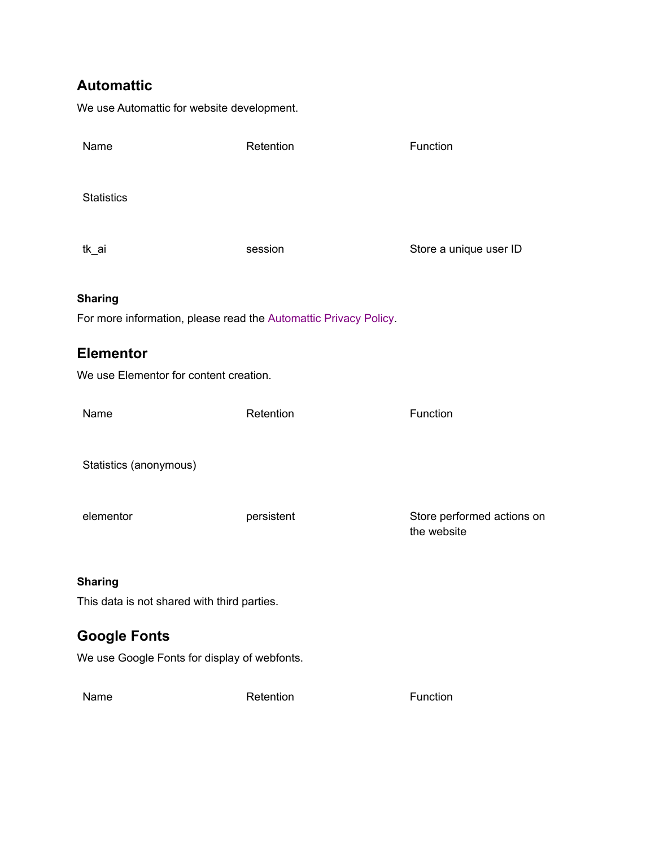### **Automattic**

We use Automattic for website development.

| Name                                                             | Retention  | Function                                  |
|------------------------------------------------------------------|------------|-------------------------------------------|
| <b>Statistics</b>                                                |            |                                           |
| tk_ai                                                            | session    | Store a unique user ID                    |
| <b>Sharing</b>                                                   |            |                                           |
| For more information, please read the Automattic Privacy Policy. |            |                                           |
| <b>Elementor</b>                                                 |            |                                           |
| We use Elementor for content creation.                           |            |                                           |
| Name                                                             | Retention  | Function                                  |
| Statistics (anonymous)                                           |            |                                           |
| elementor                                                        | persistent | Store performed actions on<br>the website |
| <b>Sharing</b>                                                   |            |                                           |
| This data is not shared with third parties.                      |            |                                           |
| <b>Google Fonts</b>                                              |            |                                           |
| We use Google Fonts for display of webfonts.                     |            |                                           |
| Name                                                             | Retention  | Function                                  |
|                                                                  |            |                                           |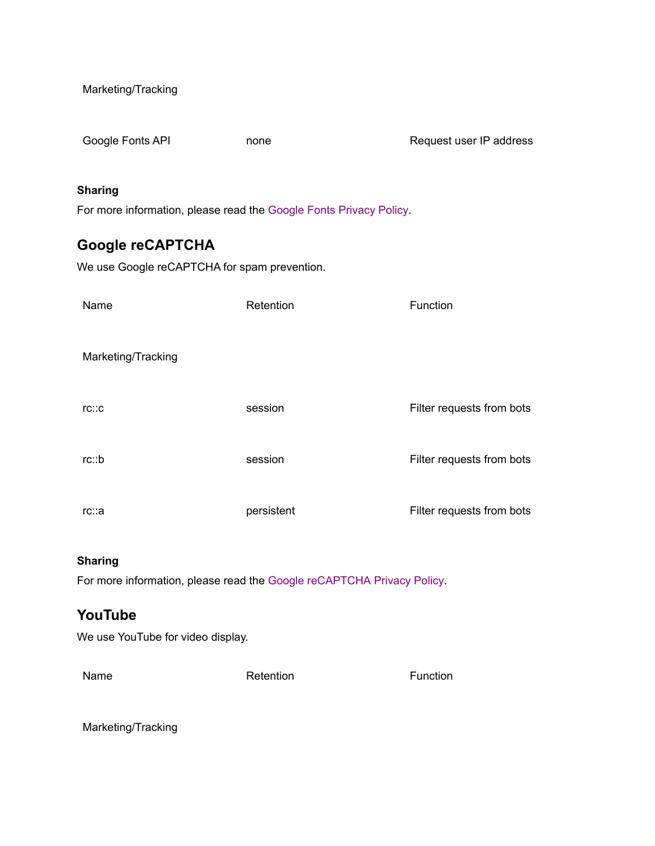Marketing/Tracking

Google Fonts API **none Request user IP address** 

#### **Sharing**

For more information, please read the Google Fonts [Privacy Policy.](https://policies.google.com/privacy)

### **Google reCAPTCHA**

We use Google reCAPTCHA for spam prevention.

| Name               | Retention  | Function                  |
|--------------------|------------|---------------------------|
| Marketing/Tracking |            |                           |
| TC::C              | session    | Filter requests from bots |
| rc::b              | session    | Filter requests from bots |
| rc∷a               | persistent | Filter requests from bots |

#### **Sharing**

For more information, please read the [Google reCAPTCHA](https://policies.google.com/privacy) Privacy Policy.

### **YouTube**

We use YouTube for video display.

Name Retention Retention Retention Retention

Marketing/Tracking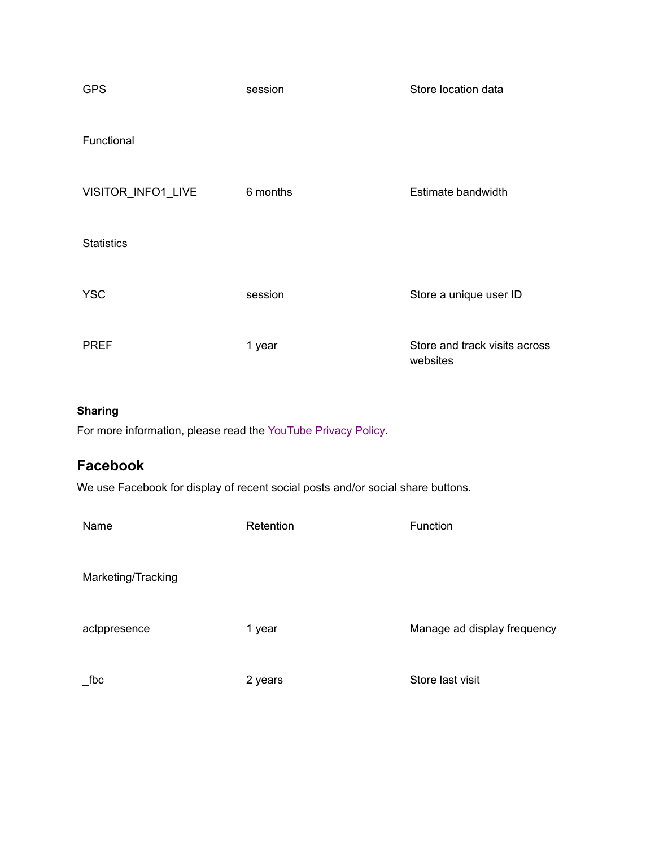| <b>GPS</b>         | session  | Store location data                       |
|--------------------|----------|-------------------------------------------|
| Functional         |          |                                           |
| VISITOR_INFO1_LIVE | 6 months | Estimate bandwidth                        |
| <b>Statistics</b>  |          |                                           |
| <b>YSC</b>         | session  | Store a unique user ID                    |
| <b>PREF</b>        | 1 year   | Store and track visits across<br>websites |

#### **Sharing**

For more information, please read the [YouTube Privacy](https://policies.google.com/privacy) Policy.

### **Facebook**

We use Facebook for display of recent social posts and/or social share buttons.

| Name               | Retention | Function                    |
|--------------------|-----------|-----------------------------|
| Marketing/Tracking |           |                             |
| actppresence       | 1 year    | Manage ad display frequency |
| fbc                | 2 years   | Store last visit            |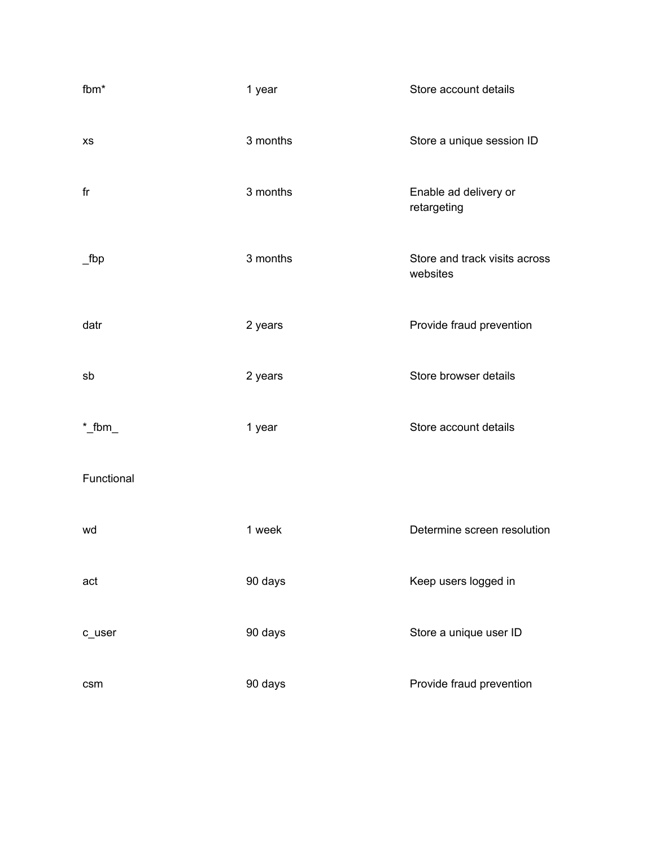| fbm*       | 1 year   | Store account details                     |
|------------|----------|-------------------------------------------|
| <b>XS</b>  | 3 months | Store a unique session ID                 |
| fr         | 3 months | Enable ad delivery or<br>retargeting      |
| $\_$ fbp   | 3 months | Store and track visits across<br>websites |
| datr       | 2 years  | Provide fraud prevention                  |
| sb         | 2 years  | Store browser details                     |
| $*$ _fbm_  | 1 year   | Store account details                     |
| Functional |          |                                           |
| wd         | 1 week   | Determine screen resolution               |
| act        | 90 days  | Keep users logged in                      |
| c_user     | 90 days  | Store a unique user ID                    |
| csm        | 90 days  | Provide fraud prevention                  |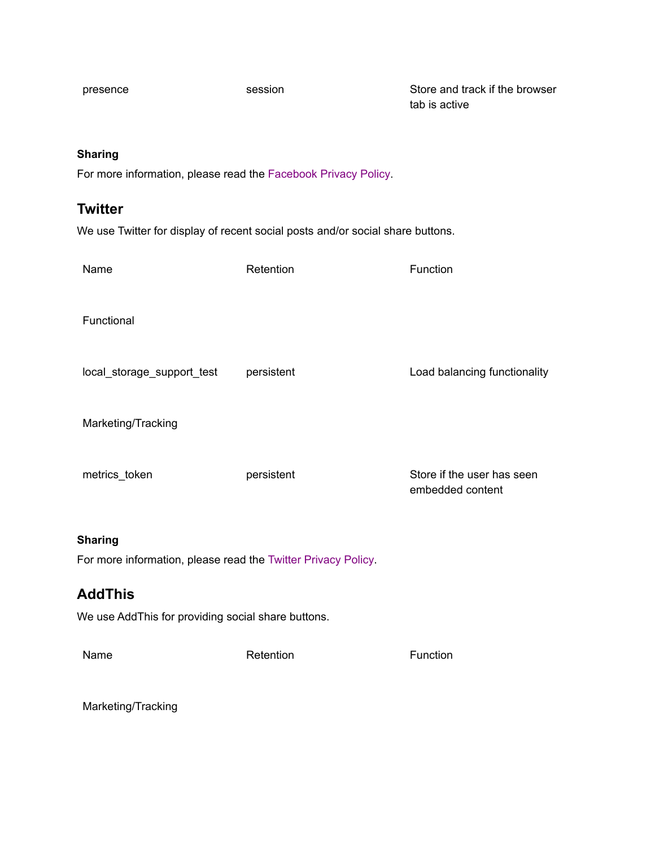presence session session Store and track if the browser tab is active

#### **Sharing**

For more information, please read the [Facebook Privacy](https://www.facebook.com/policy/cookies) Policy.

### **Twitter**

We use Twitter for display of recent social posts and/or social share buttons.

| Name                                                                            | Retention  | Function                                       |
|---------------------------------------------------------------------------------|------------|------------------------------------------------|
| Functional                                                                      |            |                                                |
| local_storage_support_test                                                      | persistent | Load balancing functionality                   |
| Marketing/Tracking                                                              |            |                                                |
| metrics_token                                                                   | persistent | Store if the user has seen<br>embedded content |
| <b>Sharing</b><br>For more information, please read the Twitter Privacy Policy. |            |                                                |
| <b>AddThis</b>                                                                  |            |                                                |

We use AddThis for providing social share buttons.

Name Retention Retention **Retention** Retention

Marketing/Tracking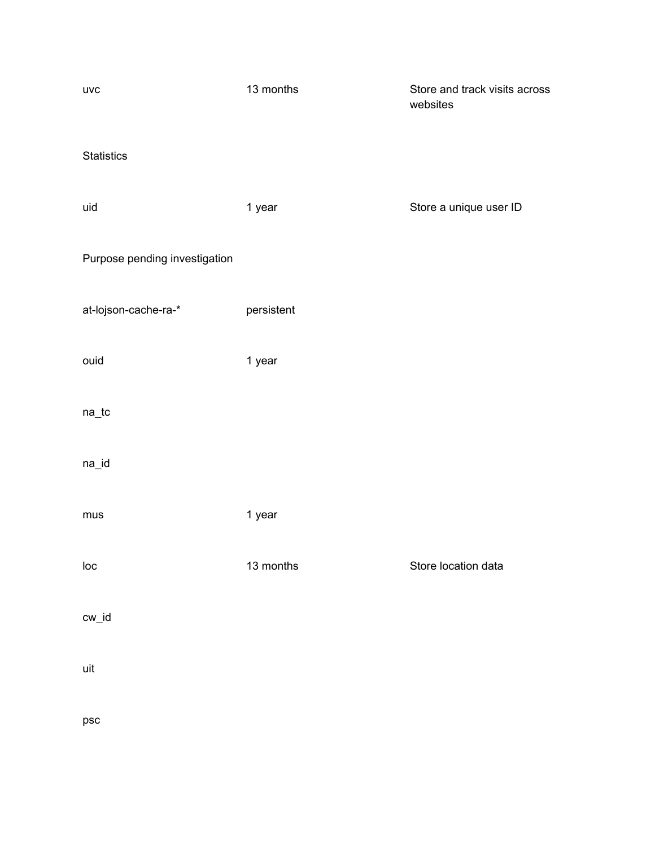| <b>UVC</b>                    | 13 months  | Store and track visits across<br>websites |
|-------------------------------|------------|-------------------------------------------|
| <b>Statistics</b>             |            |                                           |
| uid                           | 1 year     | Store a unique user ID                    |
| Purpose pending investigation |            |                                           |
| at-lojson-cache-ra-*          | persistent |                                           |
| ouid                          | 1 year     |                                           |
| $na\_tc$                      |            |                                           |
| na_id                         |            |                                           |
| mus                           | 1 year     |                                           |
| loc                           | 13 months  | Store location data                       |
| cw_id                         |            |                                           |
| uit                           |            |                                           |
| psc                           |            |                                           |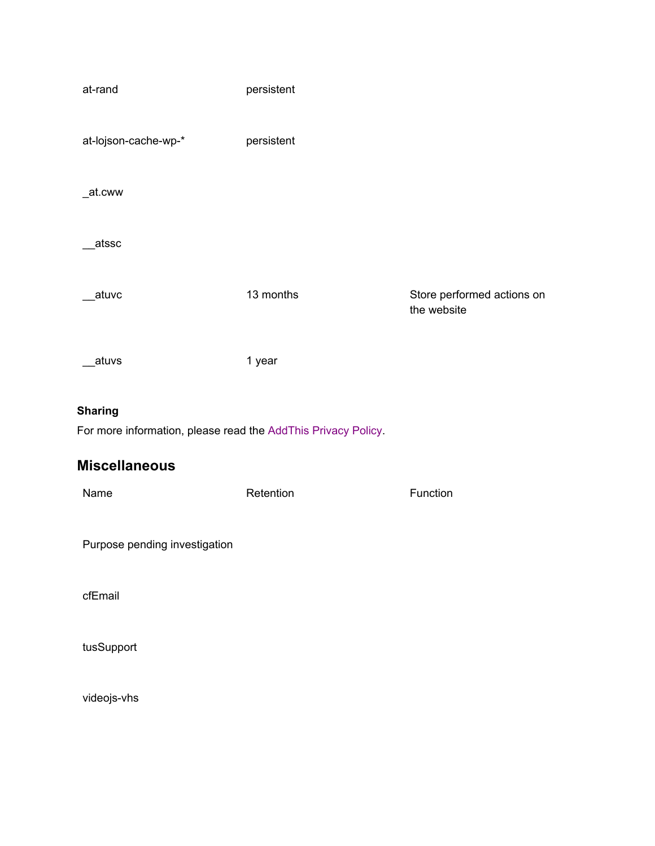| at-rand                                                       | persistent |                                           |
|---------------------------------------------------------------|------------|-------------------------------------------|
| at-lojson-cache-wp-*                                          | persistent |                                           |
| _at.cww                                                       |            |                                           |
| atssc                                                         |            |                                           |
| atuvc                                                         | 13 months  | Store performed actions on<br>the website |
| _atuvs                                                        | 1 year     |                                           |
| <b>Sharing</b>                                                |            |                                           |
| For more information, please read the AddThis Privacy Policy. |            |                                           |
| <b>Miscellaneous</b>                                          |            |                                           |
| Name                                                          | Retention  | Function                                  |
| Purpose pending investigation                                 |            |                                           |
| cfEmail                                                       |            |                                           |

tusSupport

videojs-vhs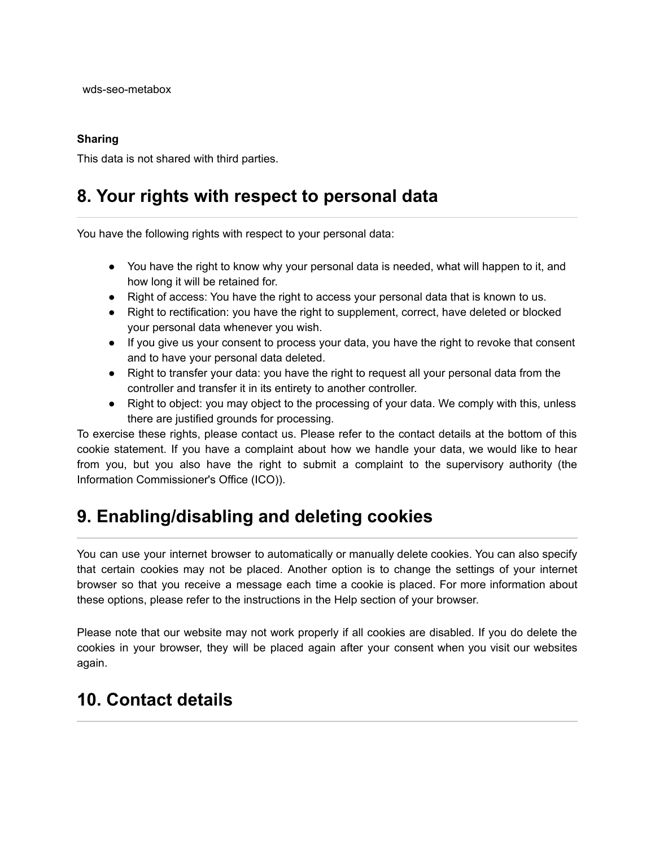#### **Sharing**

This data is not shared with third parties.

## **8. Your rights with respect to personal data**

You have the following rights with respect to your personal data:

- You have the right to know why your personal data is needed, what will happen to it, and how long it will be retained for.
- Right of access: You have the right to access your personal data that is known to us.
- Right to rectification: you have the right to supplement, correct, have deleted or blocked your personal data whenever you wish.
- If you give us your consent to process your data, you have the right to revoke that consent and to have your personal data deleted.
- Right to transfer your data: you have the right to request all your personal data from the controller and transfer it in its entirety to another controller.
- Right to object: you may object to the processing of your data. We comply with this, unless there are justified grounds for processing.

To exercise these rights, please contact us. Please refer to the contact details at the bottom of this cookie statement. If you have a complaint about how we handle your data, we would like to hear from you, but you also have the right to submit a complaint to the supervisory authority (the Information Commissioner's Office (ICO)).

## **9. Enabling/disabling and deleting cookies**

You can use your internet browser to automatically or manually delete cookies. You can also specify that certain cookies may not be placed. Another option is to change the settings of your internet browser so that you receive a message each time a cookie is placed. For more information about these options, please refer to the instructions in the Help section of your browser.

Please note that our website may not work properly if all cookies are disabled. If you do delete the cookies in your browser, they will be placed again after your consent when you visit our websites again.

## **10. Contact details**